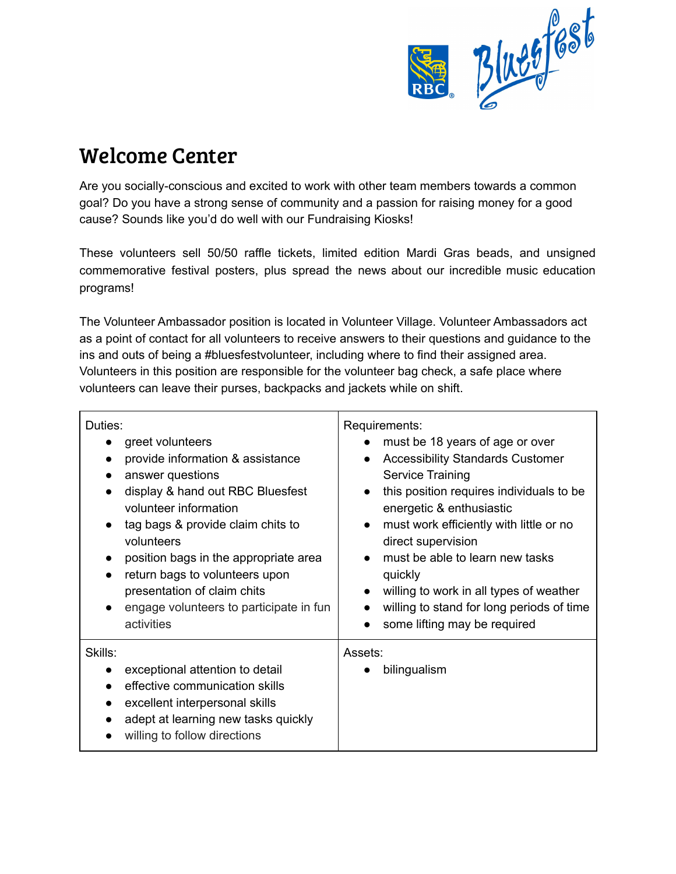

## Welcome Center

Are you socially-conscious and excited to work with other team members towards a common goal? Do you have a strong sense of community and a passion for raising money for a good cause? Sounds like you'd do well with our Fundraising Kiosks!

These volunteers sell 50/50 raffle tickets, limited edition Mardi Gras beads, and unsigned commemorative festival posters, plus spread the news about our incredible music education programs!

The Volunteer Ambassador position is located in Volunteer Village. Volunteer Ambassadors act as a point of contact for all volunteers to receive answers to their questions and guidance to the ins and outs of being a #bluesfestvolunteer, including where to find their assigned area. Volunteers in this position are responsible for the volunteer bag check, a safe place where volunteers can leave their purses, backpacks and jackets while on shift.

| Duties:<br>greet volunteers<br>provide information & assistance<br>answer questions<br>display & hand out RBC Bluesfest<br>volunteer information<br>tag bags & provide claim chits to<br>volunteers<br>position bags in the appropriate area<br>return bags to volunteers upon<br>presentation of claim chits<br>engage volunteers to participate in fun<br>activities | Requirements:<br>must be 18 years of age or over<br><b>Accessibility Standards Customer</b><br>$\bullet$<br>Service Training<br>this position requires individuals to be<br>$\bullet$<br>energetic & enthusiastic<br>must work efficiently with little or no<br>$\bullet$<br>direct supervision<br>must be able to learn new tasks<br>$\bullet$<br>quickly<br>willing to work in all types of weather<br>willing to stand for long periods of time<br>some lifting may be required |
|------------------------------------------------------------------------------------------------------------------------------------------------------------------------------------------------------------------------------------------------------------------------------------------------------------------------------------------------------------------------|------------------------------------------------------------------------------------------------------------------------------------------------------------------------------------------------------------------------------------------------------------------------------------------------------------------------------------------------------------------------------------------------------------------------------------------------------------------------------------|
| Skills:<br>exceptional attention to detail<br>effective communication skills<br>excellent interpersonal skills<br>adept at learning new tasks quickly<br>willing to follow directions                                                                                                                                                                                  | Assets:<br>bilingualism                                                                                                                                                                                                                                                                                                                                                                                                                                                            |